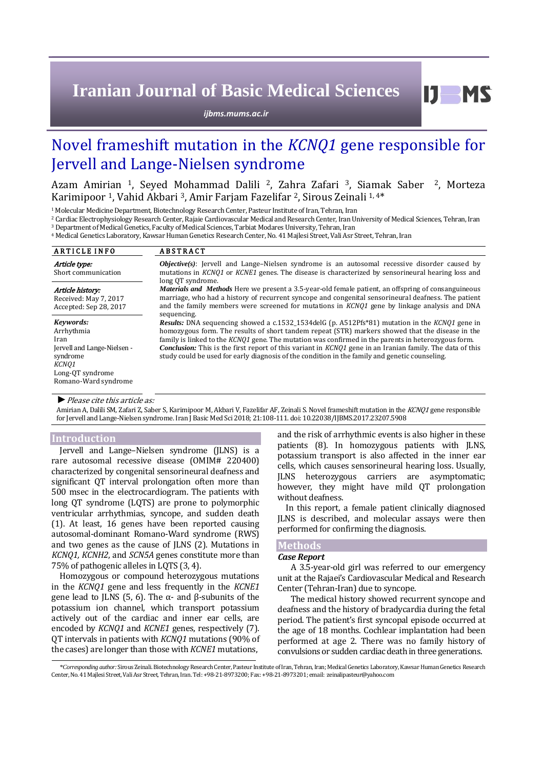# **Iranian Journal of Basic Medical Sciences**

*ijbms.mums.ac.ir*

# Novel frameshift mutation in the *KCNQ1* gene responsible for Jervell and Lange-Nielsen syndrome

Azam Amirian 1, Seyed Mohammad Dalili 2, Zahra Zafari 3, Siamak Saber 2, Morteza Karimipoor<sup>1</sup>, Vahid Akbari<sup>3</sup>, Amir Farjam Fazelifar<sup>2</sup>, Sirous Zeinali<sup>1,4\*</sup>

<sup>1</sup>Molecular Medicine Department, Biotechnology Research Center, Pasteur Institute of Iran, Tehran, Iran

<sup>2</sup> Cardiac Electrophysiology Research Center, Rajaie Cardiovascular Medical and Research Center, Iran University of Medical Sciences, Tehran, Iran

<sup>3</sup>Department of Medical Genetics, Faculty of Medical Sciences, Tarbiat Modares University, Tehran, Iran

<sup>4</sup> Medical Genetics Laboratory, Kawsar Human Genetics Research Center, No. 41 Majlesi Street, Vali Asr Street, Tehran, Iran

| <b>ARTICLE INFO</b>                                                                                                             | <b>ABSTRACT</b>                                                                                                                                                                                                                                                                                                                                                                                                                                                                                                                                                                                                                                                                                                                                                                                                                                                                   |
|---------------------------------------------------------------------------------------------------------------------------------|-----------------------------------------------------------------------------------------------------------------------------------------------------------------------------------------------------------------------------------------------------------------------------------------------------------------------------------------------------------------------------------------------------------------------------------------------------------------------------------------------------------------------------------------------------------------------------------------------------------------------------------------------------------------------------------------------------------------------------------------------------------------------------------------------------------------------------------------------------------------------------------|
| Article type:<br>Short communication                                                                                            | <b><i>Objective(s)</i></b> : Jervell and Lange–Nielsen syndrome is an autosomal recessive disorder caused by<br>mutations in KCNO1 or KCNE1 genes. The disease is characterized by sensorineural hearing loss and<br>long OT syndrome.                                                                                                                                                                                                                                                                                                                                                                                                                                                                                                                                                                                                                                            |
| Article history:<br>Received: May 7, 2017<br>Accepted: Sep 28, 2017                                                             | <i>Materials and Methods</i> Here we present a 3.5-year-old female patient, an offspring of consanguineous<br>marriage, who had a history of recurrent syncope and congenital sensorineural deafness. The patient<br>and the family members were screened for mutations in KCNO1 gene by linkage analysis and DNA<br>sequencing.<br><b>Results:</b> DNA sequencing showed a c.1532_1534delG (p. A512Pfs*81) mutation in the KCNQ1 gene in<br>homozygous form. The results of short tandem repeat (STR) markers showed that the disease in the<br>family is linked to the <i>KCNO1</i> gene. The mutation was confirmed in the parents in heterozygous form.<br><b>Conclusion:</b> This is the first report of this variant in KCNO1 gene in an Iranian family. The data of this<br>study could be used for early diagnosis of the condition in the family and genetic counseling. |
| Kevwords:<br>Arrhythmia<br>Iran<br>Jervell and Lange-Nielsen -<br>syndrome<br>KCNO1<br>Long-QT syndrome<br>Romano-Ward syndrome |                                                                                                                                                                                                                                                                                                                                                                                                                                                                                                                                                                                                                                                                                                                                                                                                                                                                                   |

#### *►*Please cite this article as:

Amirian A, Dalili SM, Zafari Z, Saber S, Karimipoor M, Akbari V, Fazelifar AF, Zeinali S. Novel frameshift mutation in the KCNQ1 gene responsible for Jervell and Lange-Nielsen syndrome. Iran J Basic Med Sci 2018; 21:108-111. doi: [10.22038/IJBMS.2017.23207.5908](http://dx.doi.org/10.22038/ijbms.2017.23207.5908)

#### **Introduction**

Jervell and Lange–Nielsen syndrome (JLNS) is a rare autosomal recessive disease (OMIM# 220400) characterized by congenital sensorineural deafness and significant QT interval prolongation often more than 500 msec in the electrocardiogram. The patients with long QT syndrome (LQTS) are prone to polymorphic ventricular arrhythmias, syncope, and sudden death (1). At least, 16 genes have been reported causing autosomal-dominant Romano-Ward syndrome (RWS) and two genes as the cause of JLNS (2). Mutations in *KCNQ1, KCNH2*, and *SCN5A* genes constitute more than 75% of pathogenic alleles in LQTS (3, 4).

Homozygous or compound heterozygous mutations in the *KCNQ1* gene and less frequently in the *KCNE1* gene lead to JLNS (5, 6). The α- and β-subunits of the potassium ion channel, which transport potassium actively out of the cardiac and inner ear cells, are encoded by *KCNQ1* and *KCNE1* genes, respectively (7). QT intervals in patients with *KCNQ1* mutations (90% of the cases) are longer than those with *KCNE1* mutations,

and the risk of arrhythmic events is also higher in these patients (8). In homozygous patients with JLNS, potassium transport is also affected in the inner ear cells, which causes sensorineural hearing loss. Usually, JLNS heterozygous carriers are asymptomatic; however, they might have mild QT prolongation without deafness.

In this report, a female patient clinically diagnosed JLNS is described, and molecular assays were then performed for confirming the diagnosis.

# **Methods**

# *Case Report*

A 3.5-year-old girl was referred to our emergency unit at the Rajaei's Cardiovascular Medical and Research Center (Tehran-Iran) due to syncope.

The medical history showed recurrent syncope and deafness and the history of bradycardia during the fetal period. The patient's first syncopal episode occurred at the age of 18 months. Cochlear implantation had been performed at age 2. There was no family history of convulsions or sudden cardiac death in three generations.

\**Corresponding author:*Sirous Zeinali. Biotechnology Research Center, Pasteur Institute of Iran, Tehran, Iran; Medical Genetics Laboratory, Kawsar Human Genetics Research Center, No. 41 Majlesi Street, Vali Asr Street, Tehran, Iran. Tel: +98-21-8973200; Fax: +98-21-8973201; email: zeinalipasteur@yahoo.com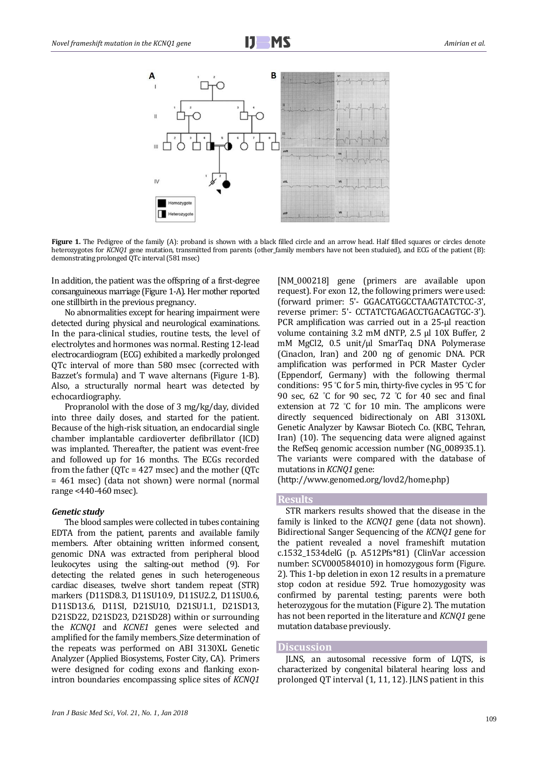



**Figure 1.** The Pedigree of the family (A): proband is shown with a black filled circle and an arrow head. Half filled squares or circles denote heterozygotes for *KCNQ1* gene mutation, transmitted from parents (other family members have not been studuied), and ECG of the patient (B): demonstrating prolonged QTc interval (581 msec)

In addition, the patient was the offspring of a first-degree consanguineous marriage (Figure 1-A). Her mother reported one stillbirth in the previous pregnancy.

No abnormalities except for hearing impairment were detected during physical and neurological examinations. In the para-clinical studies, routine tests, the level of electrolytes and hormones was normal. Resting 12-lead electrocardiogram (ECG) exhibited a markedly prolonged QTc interval of more than 580 msec (corrected with Bazzet's formula) and T wave alternans (Figure 1-B). Also, a structurally normal heart was detected by echocardiography.

Propranolol with the dose of 3 mg/kg/day, divided into three daily doses, and started for the patient. Because of the high-risk situation, an endocardial single chamber implantable cardioverter defibrillator (ICD) was implanted. Thereafter, the patient was event-free and followed up for 16 months. The ECGs recorded from the father (QTc = 427 msec) and the mother (QTc = 461 msec) (data not shown) were normal (normal range <440-460 msec).

#### *Genetic study*

The blood samples were collected in tubes containing EDTA from the patient, parents and available family members. After obtaining written informed consent, genomic DNA was extracted from peripheral blood leukocytes using the salting-out method (9). For detecting the related genes in such heterogeneous cardiac diseases, twelve short tandem repeat (STR) markers (D11SD8.3, D11SU10.9, D11SU2.2, D11SU0.6, D11SD13.6, D11SI, D21SU10, D21SU1.1, D21SD13, D21SD22, D21SD23, D21SD28) within or surrounding the *KCNQ1* and *KCNE1* genes were selected and amplified for the family members. Size determination of the repeats was performed on ABI 3130XL Genetic Analyzer (Applied Biosystems, Foster City, CA). Primers were designed for coding exons and flanking exonintron boundaries encompassing splice sites of *KCNQ1* [NM\_000218] gene (primers are available upon request). For exon 12, the following primers were used: (forward primer: 5ʹ- GGACATGGCCTAAGTATCTCC-3ʹ, reverse primer: 5ʹ- CCTATCTGAGACCTGACAGTGC-3ʹ). PCR amplification was carried out in a 25-μl reaction volume containing 3.2 mM dNTP, 2.5 µl 10X Buffer, 2 mM MgCl2, 0.5 unit/µl SmarTaq DNA Polymerase (Cinaclon, Iran) and 200 ng of genomic DNA. PCR amplification was performed in PCR Master Cycler (Eppendorf, Germany) with the following thermal conditions: 95 °C for 5 min, thirty-five cycles in 95 °C for 90 sec, 62 °C for 90 sec, 72 °C for 40 sec and final extension at 72 °C for 10 min. The amplicons were directly sequenced bidirectionaly on ABI 3130XL Genetic Analyzer by Kawsar Biotech Co. (KBC, Tehran, Iran) (10). The sequencing data were aligned against the RefSeq genomic accession number (NG\_008935.1). The variants were compared with the database of mutations in *KCNQ1* gene:

(http://www.genomed.org/lovd2/home.php)

# **Results**

STR markers results showed that the disease in the family is linked to the *KCNQ1* gene (data not shown). Bidirectional Sanger Sequencing of the *KCNQ1* gene for the patient revealed a novel frameshift mutation c.1532\_1534delG (p. A512Pfs\*81) (ClinVar accession number: SCV000584010) in homozygous form (Figure. 2). This 1-bp deletion in exon 12 results in a premature stop codon at residue 592. True homozygosity was confirmed by parental testing; parents were both heterozygous for the mutation (Figure 2). The mutation has not been reported in the literature and *KCNQ1* gene mutation database previously.

#### **Discussion**

JLNS, an autosomal recessive form of LQTS, is characterized by congenital bilateral hearing loss and prolonged QT interval (1, 11, 12). JLNS patient in this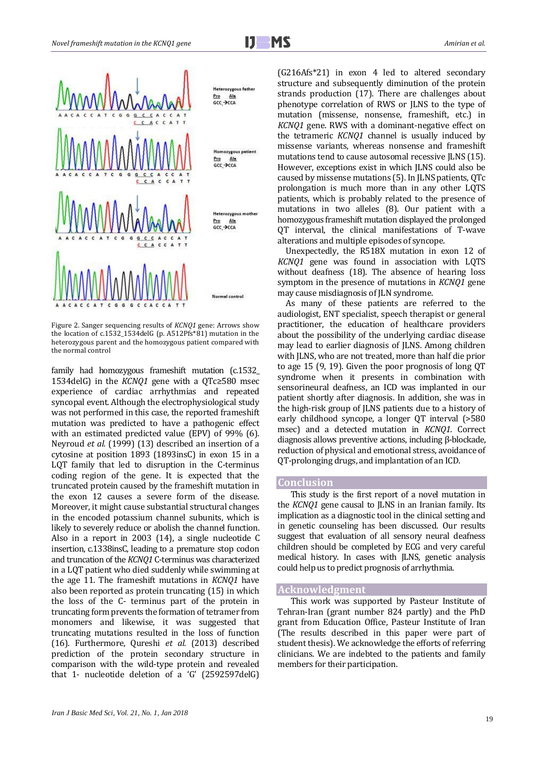

Figure 2. Sanger sequencing results of *KCNQ1* gene: Arrows show the location of c.1532\_1534delG (p. A512Pfs\*81) mutation in the heterozygous parent and the homozygous patient compared with the normal control

family had homozygous frameshift mutation (c.1532\_ 1534delG) in the *KCNQ1* gene with a QTc≥580 msec experience of cardiac arrhythmias and repeated syncopal event. Although the electrophysiological study was not performed in this case, the reported frameshift mutation was predicted to have a pathogenic effect with an estimated predicted value (EPV) of 99% (6). Neyroud *et al.* (1999) (13) described an insertion of a cytosine at position 1893 (1893insC) in exon 15 in a LQT family that led to disruption in the C-terminus coding region of the gene. It is expected that the truncated protein caused by the frameshift mutation in the exon 12 causes a severe form of the disease. Moreover, it might cause substantial structural changes in the encoded potassium channel subunits, which is likely to severely reduce or abolish the channel function. Also in a report in 2003 (14), a single nucleotide C insertion, c.1338insC, leading to a premature stop codon and truncation of the *KCNQ1* C-terminus was characterized in a LQT patient who died suddenly while swimming at the age 11. The frameshift mutations in *KCNQ1* have also been reported as protein truncating (15) in which the loss of the C- terminus part of the protein in truncating form prevents the formation of tetramer from monomers and likewise, it was suggested that truncating mutations resulted in the loss of function (16). Furthermore, Qureshi *et al.* (2013) described prediction of the protein secondary structure in comparison with the wild-type protein and revealed that 1- nucleotide deletion of a 'G' (2592597delG) (G216Afs\*21) in exon 4 led to altered secondary structure and subsequently diminution of the protein strands production (17). There are challenges about phenotype correlation of RWS or JLNS to the type of mutation (missense, nonsense, frameshift, etc.) in *KCNQ1* gene. RWS with a dominant-negative effect on the tetrameric *KCNQ1* channel is usually induced by missense variants, whereas nonsense and frameshift mutations tend to cause autosomal recessive JLNS (15). However, exceptions exist in which JLNS could also be caused by missense mutations (5). In JLNS patients, QTc prolongation is much more than in any other LQTS patients, which is probably related to the presence of mutations in two alleles (8). Our patient with a homozygous frameshift mutation displayed the prolonged QT interval, the clinical manifestations of T-wave alterations and multiple episodes of syncope.

Unexpectedly, the R518X mutation in exon 12 of *KCNQ1* gene was found in association with LQTS without deafness (18). The absence of hearing loss symptom in the presence of mutations in *KCNQ1* gene may cause misdiagnosis of JLN syndrome.

As many of these patients are referred to the audiologist, ENT specialist, speech therapist or general practitioner, the education of healthcare providers about the possibility of the underlying cardiac disease may lead to earlier diagnosis of JLNS. Among children with JLNS, who are not treated, more than half die prior to age 15 (9, 19). Given the poor prognosis of long QT syndrome when it presents in combination with sensorineural deafness, an ICD was implanted in our patient shortly after diagnosis. In addition, she was in the high-risk group of JLNS patients due to a history of early childhood syncope, a longer QT interval (>580 msec) and a detected mutation in *KCNQ1*. Correct diagnosis allows preventive actions, including β-blockade, reduction of physical and emotional stress, avoidance of QT-prolonging drugs, and implantation of an ICD.

## **Conclusion**

This study is the first report of a novel mutation in the *KCNQ1* gene causal to JLNS in an Iranian family. Its implication as a diagnostic tool in the clinical setting and in genetic counseling has been discussed. Our results suggest that evaluation of all sensory neural deafness children should be completed by ECG and very careful medical history. In cases with JLNS, genetic analysis could help us to predict prognosis of arrhythmia.

### **Acknowledgment**

This work was supported by Pasteur Institute of Tehran-Iran (grant number 824 partly) and the PhD grant from Education Office, Pasteur Institute of Iran (The results described in this paper were part of student thesis). We acknowledge the efforts of referring clinicians. We are indebted to the patients and family members for their participation.